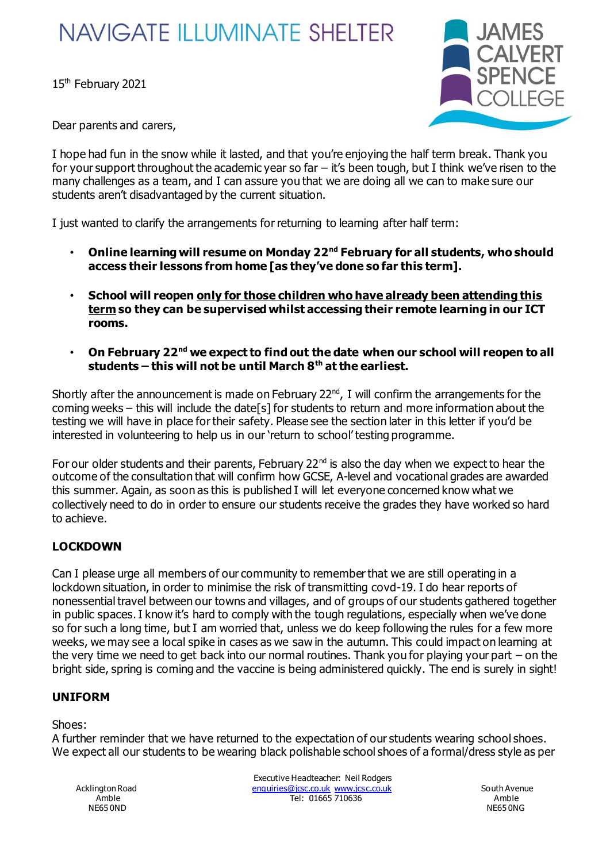# **NAVIGATE ILLUMINATE SHELTER**

15<sup>th</sup> February 2021



Dear parents and carers,

I hope had fun in the snow while it lasted, and that you're enjoying the half term break. Thank you for your support throughout the academic year so far  $-$  it's been tough, but I think we've risen to the many challenges as a team, and I can assure you that we are doing all we can to make sure our students aren't disadvantaged by the current situation.

I just wanted to clarify the arrangements for returning to learning after half term:

- **Online learning will resume on Monday 22nd February for all students, who should access their lessons from home [as they've done so far this term].**
- **School will reopen only for those children who have already been attending this term so they can be supervised whilst accessing their remote learning in our ICT rooms.**
- **On February 22nd we expect to find out the date when our school will reopen to all students – this will not be until March 8th at the earliest.**

Shortly after the announcement is made on February  $22<sup>nd</sup>$ , I will confirm the arrangements for the coming weeks – this will include the date[s] for students to return and more information about the testing we will have in place for their safety. Please see the section later in this letter if you'd be interested in volunteering to help us in our 'return to school' testing programme.

For our older students and their parents, February  $22^{nd}$  is also the day when we expect to hear the outcome of the consultation that will confirm how GCSE, A-level and vocational grades are awarded this summer. Again, as soon as this is published I will let everyone concerned know what we collectively need to do in order to ensure our students receive the grades they have worked so hard to achieve.

## **LOCKDOWN**

Can I please urge all members of our community to remember that we are still operating in a lockdown situation, in order to minimise the risk of transmitting covd-19. I do hear reports of nonessential travel between our towns and villages, and of groups of our students gathered together in public spaces. I know it's hard to comply with the tough regulations, especially when we've done so for such a long time, but I am worried that, unless we do keep following the rules for a few more weeks, we may see a local spike in cases as we saw in the autumn. This could impact on learning at the very time we need to get back into our normal routines. Thank you for playing your part – on the bright side, spring is coming and the vaccine is being administered quickly. The end is surely in sight!

## **UNIFORM**

## Shoes:

A further reminder that we have returned to the expectation of our students wearing school shoes. We expect all our students to be wearing black polishable school shoes of a formal/dress style as per

NE65 0ND NE65 0NG

Executive Headteacher: Neil Rodgers Acklington Road **Enquiries@jcsc.co.uk www.jcsc.co.uk** South Avenue Amble Tel: 01665 710636 Amble